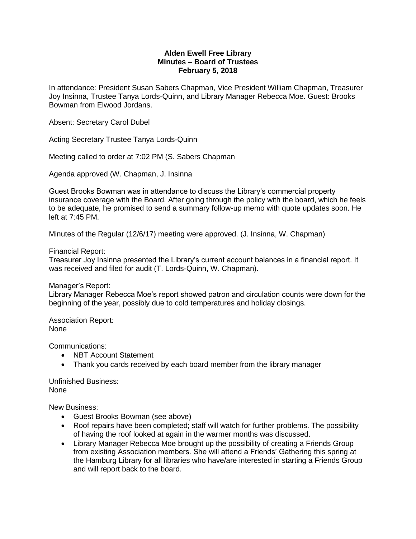## **Alden Ewell Free Library Minutes – Board of Trustees February 5, 2018**

In attendance: President Susan Sabers Chapman, Vice President William Chapman, Treasurer Joy Insinna, Trustee Tanya Lords-Quinn, and Library Manager Rebecca Moe. Guest: Brooks Bowman from Elwood Jordans.

Absent: Secretary Carol Dubel

Acting Secretary Trustee Tanya Lords-Quinn

Meeting called to order at 7:02 PM (S. Sabers Chapman

Agenda approved (W. Chapman, J. Insinna

Guest Brooks Bowman was in attendance to discuss the Library's commercial property insurance coverage with the Board. After going through the policy with the board, which he feels to be adequate, he promised to send a summary follow-up memo with quote updates soon. He left at 7:45 PM.

Minutes of the Regular (12/6/17) meeting were approved. (J. Insinna, W. Chapman)

Financial Report:

Treasurer Joy Insinna presented the Library's current account balances in a financial report. It was received and filed for audit (T. Lords-Quinn, W. Chapman).

Manager's Report:

Library Manager Rebecca Moe's report showed patron and circulation counts were down for the beginning of the year, possibly due to cold temperatures and holiday closings.

Association Report: None

Communications:

- NBT Account Statement
- Thank you cards received by each board member from the library manager

Unfinished Business: None

New Business:

- Guest Brooks Bowman (see above)
- Roof repairs have been completed; staff will watch for further problems. The possibility of having the roof looked at again in the warmer months was discussed.
- Library Manager Rebecca Moe brought up the possibility of creating a Friends Group from existing Association members. She will attend a Friends' Gathering this spring at the Hamburg Library for all libraries who have/are interested in starting a Friends Group and will report back to the board.